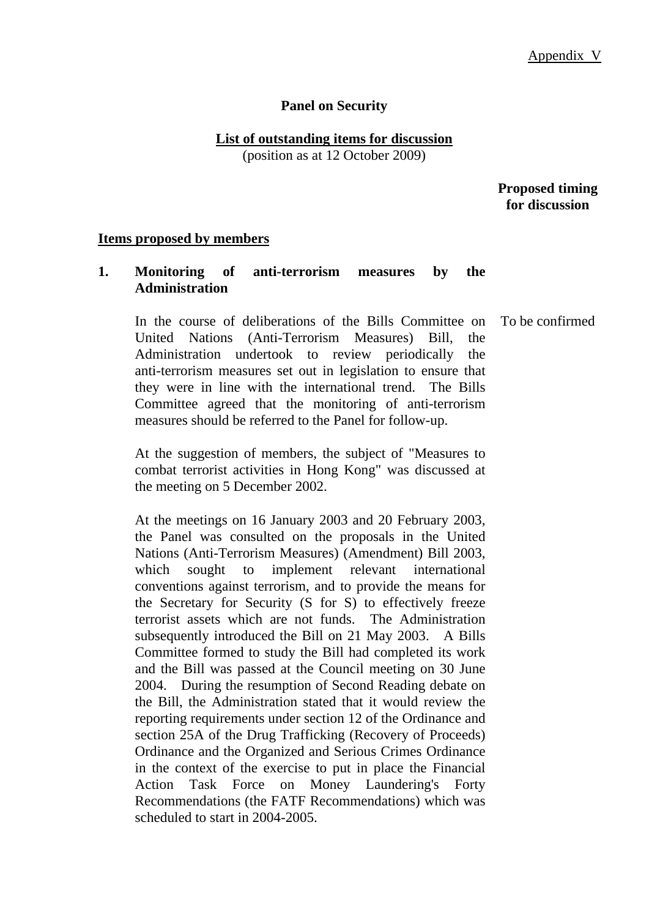### **Panel on Security**

**List of outstanding items for discussion** (position as at 12 October 2009)

> **Proposed timing for discussion**

#### **Items proposed by members**

### **1. Monitoring of anti-terrorism measures by the Administration**

 In the course of deliberations of the Bills Committee on United Nations (Anti-Terrorism Measures) Bill, the Administration undertook to review periodically the anti-terrorism measures set out in legislation to ensure that they were in line with the international trend. The Bills Committee agreed that the monitoring of anti-terrorism measures should be referred to the Panel for follow-up.

At the suggestion of members, the subject of "Measures to combat terrorist activities in Hong Kong" was discussed at the meeting on 5 December 2002.

At the meetings on 16 January 2003 and 20 February 2003, the Panel was consulted on the proposals in the United Nations (Anti-Terrorism Measures) (Amendment) Bill 2003, which sought to implement relevant international conventions against terrorism, and to provide the means for the Secretary for Security (S for S) to effectively freeze terrorist assets which are not funds. The Administration subsequently introduced the Bill on 21 May 2003. A Bills Committee formed to study the Bill had completed its work and the Bill was passed at the Council meeting on 30 June 2004. During the resumption of Second Reading debate on the Bill, the Administration stated that it would review the reporting requirements under section 12 of the Ordinance and section 25A of the Drug Trafficking (Recovery of Proceeds) Ordinance and the Organized and Serious Crimes Ordinance in the context of the exercise to put in place the Financial Action Task Force on Money Laundering's Forty Recommendations (the FATF Recommendations) which was scheduled to start in 2004-2005.

To be confirmed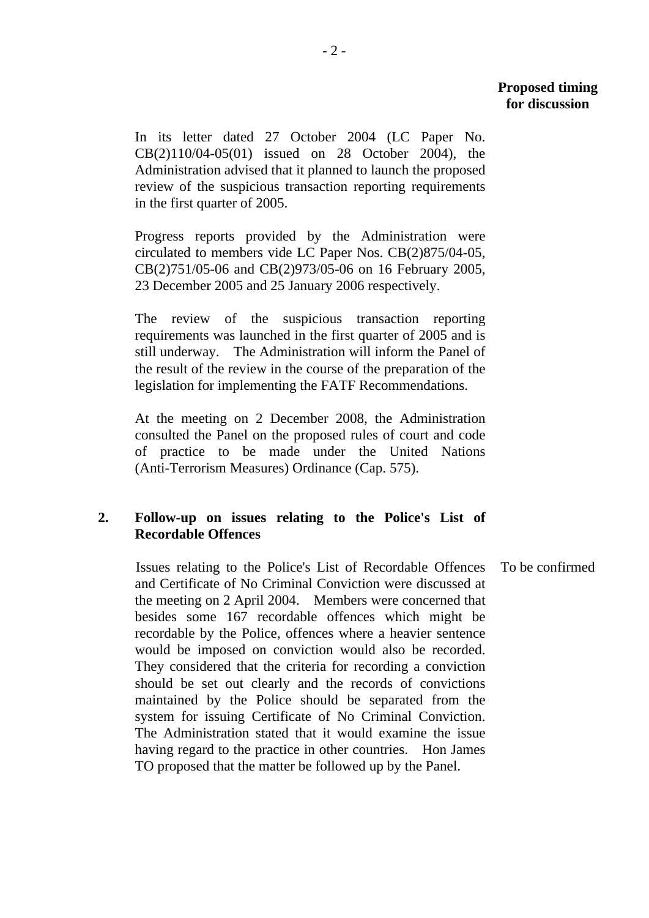In its letter dated 27 October 2004 (LC Paper No. CB(2)110/04-05(01) issued on 28 October 2004), the Administration advised that it planned to launch the proposed review of the suspicious transaction reporting requirements in the first quarter of 2005.

Progress reports provided by the Administration were circulated to members vide LC Paper Nos. CB(2)875/04-05, CB(2)751/05-06 and CB(2)973/05-06 on 16 February 2005, 23 December 2005 and 25 January 2006 respectively.

The review of the suspicious transaction reporting requirements was launched in the first quarter of 2005 and is still underway. The Administration will inform the Panel of the result of the review in the course of the preparation of the legislation for implementing the FATF Recommendations.

At the meeting on 2 December 2008, the Administration consulted the Panel on the proposed rules of court and code of practice to be made under the United Nations (Anti-Terrorism Measures) Ordinance (Cap. 575).

# **2. Follow-up on issues relating to the Police's List of Recordable Offences**

Issues relating to the Police's List of Recordable Offences and Certificate of No Criminal Conviction were discussed at the meeting on 2 April 2004. Members were concerned that besides some 167 recordable offences which might be recordable by the Police, offences where a heavier sentence would be imposed on conviction would also be recorded. They considered that the criteria for recording a conviction should be set out clearly and the records of convictions maintained by the Police should be separated from the system for issuing Certificate of No Criminal Conviction. The Administration stated that it would examine the issue having regard to the practice in other countries. Hon James TO proposed that the matter be followed up by the Panel. To be confirmed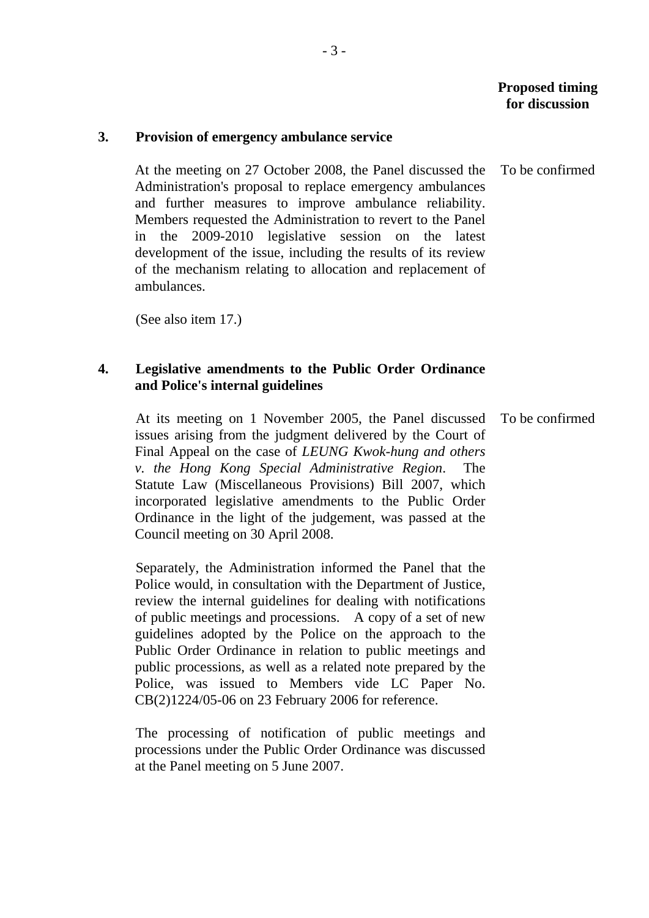To be confirmed

#### **3. Provision of emergency ambulance service**

At the meeting on 27 October 2008, the Panel discussed the Administration's proposal to replace emergency ambulances and further measures to improve ambulance reliability. Members requested the Administration to revert to the Panel in the 2009-2010 legislative session on the latest development of the issue, including the results of its review of the mechanism relating to allocation and replacement of ambulances.

(See also item 17.)

### **4. Legislative amendments to the Public Order Ordinance and Police's internal guidelines**

At its meeting on 1 November 2005, the Panel discussed issues arising from the judgment delivered by the Court of Final Appeal on the case of *LEUNG Kwok-hung and others v. the Hong Kong Special Administrative Region*. The Statute Law (Miscellaneous Provisions) Bill 2007, which incorporated legislative amendments to the Public Order Ordinance in the light of the judgement, was passed at the Council meeting on 30 April 2008. To be confirmed

Separately, the Administration informed the Panel that the Police would, in consultation with the Department of Justice, review the internal guidelines for dealing with notifications of public meetings and processions. A copy of a set of new guidelines adopted by the Police on the approach to the Public Order Ordinance in relation to public meetings and public processions, as well as a related note prepared by the Police, was issued to Members vide LC Paper No. CB(2)1224/05-06 on 23 February 2006 for reference.

The processing of notification of public meetings and processions under the Public Order Ordinance was discussed at the Panel meeting on 5 June 2007.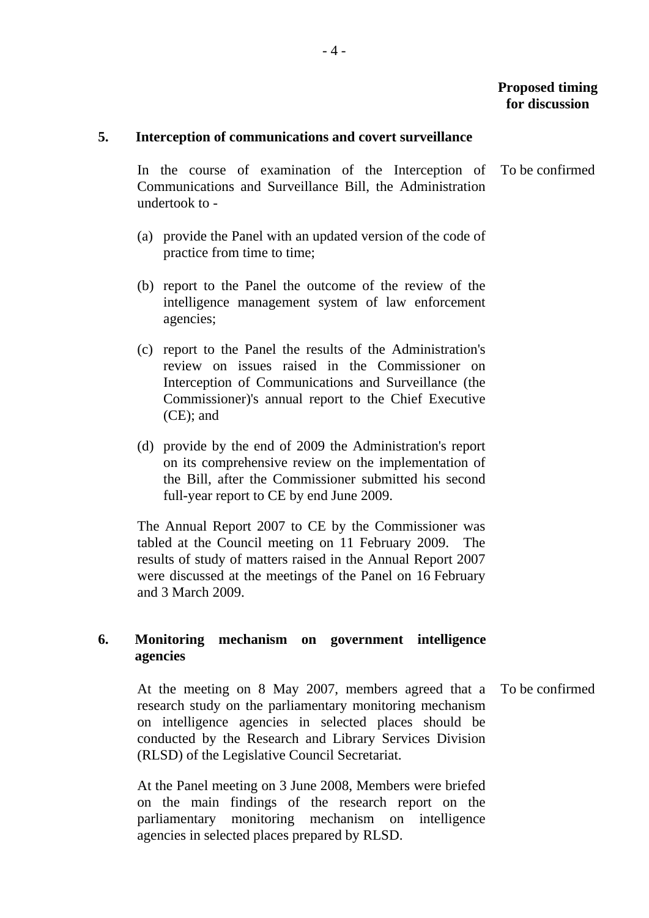#### **5. Interception of communications and covert surveillance**

In the course of examination of the Interception of Communications and Surveillance Bill, the Administration undertook to - To be confirmed

- (a) provide the Panel with an updated version of the code of practice from time to time;
- (b) report to the Panel the outcome of the review of the intelligence management system of law enforcement agencies;
- (c) report to the Panel the results of the Administration's review on issues raised in the Commissioner on Interception of Communications and Surveillance (the Commissioner)'s annual report to the Chief Executive (CE); and
- (d) provide by the end of 2009 the Administration's report on its comprehensive review on the implementation of the Bill, after the Commissioner submitted his second full-year report to CE by end June 2009.

The Annual Report 2007 to CE by the Commissioner was tabled at the Council meeting on 11 February 2009. The results of study of matters raised in the Annual Report 2007 were discussed at the meetings of the Panel on 16 February and 3 March 2009.

# **6. Monitoring mechanism on government intelligence agencies**

At the meeting on 8 May 2007, members agreed that a research study on the parliamentary monitoring mechanism on intelligence agencies in selected places should be conducted by the Research and Library Services Division (RLSD) of the Legislative Council Secretariat. To be confirmed

At the Panel meeting on 3 June 2008, Members were briefed on the main findings of the research report on the parliamentary monitoring mechanism on intelligence agencies in selected places prepared by RLSD.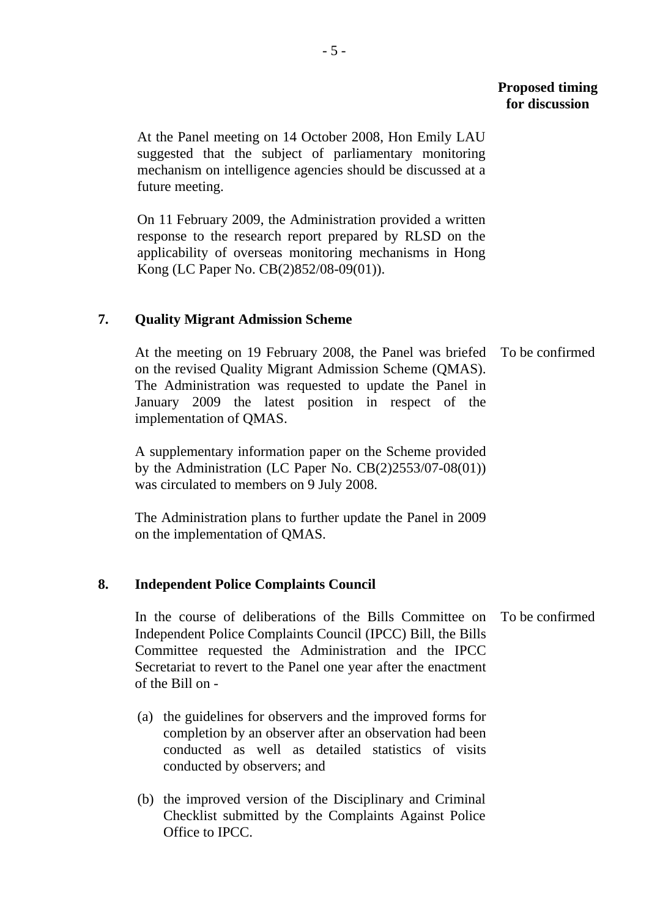# **Proposed timing for discussion**

At the Panel meeting on 14 October 2008, Hon Emily LAU suggested that the subject of parliamentary monitoring mechanism on intelligence agencies should be discussed at a future meeting.

On 11 February 2009, the Administration provided a written response to the research report prepared by RLSD on the applicability of overseas monitoring mechanisms in Hong Kong (LC Paper No. CB(2)852/08-09(01)).

# **7. Quality Migrant Admission Scheme**

At the meeting on 19 February 2008, the Panel was briefed To be confirmed on the revised Quality Migrant Admission Scheme (QMAS). The Administration was requested to update the Panel in January 2009 the latest position in respect of the implementation of QMAS.

A supplementary information paper on the Scheme provided by the Administration (LC Paper No. CB(2)2553/07-08(01)) was circulated to members on 9 July 2008.

The Administration plans to further update the Panel in 2009 on the implementation of QMAS.

# **8. Independent Police Complaints Council**

In the course of deliberations of the Bills Committee on Independent Police Complaints Council (IPCC) Bill, the Bills Committee requested the Administration and the IPCC Secretariat to revert to the Panel one year after the enactment of the Bill on - To be confirmed

- (a) the guidelines for observers and the improved forms for completion by an observer after an observation had been conducted as well as detailed statistics of visits conducted by observers; and
- (b) the improved version of the Disciplinary and Criminal Checklist submitted by the Complaints Against Police Office to IPCC.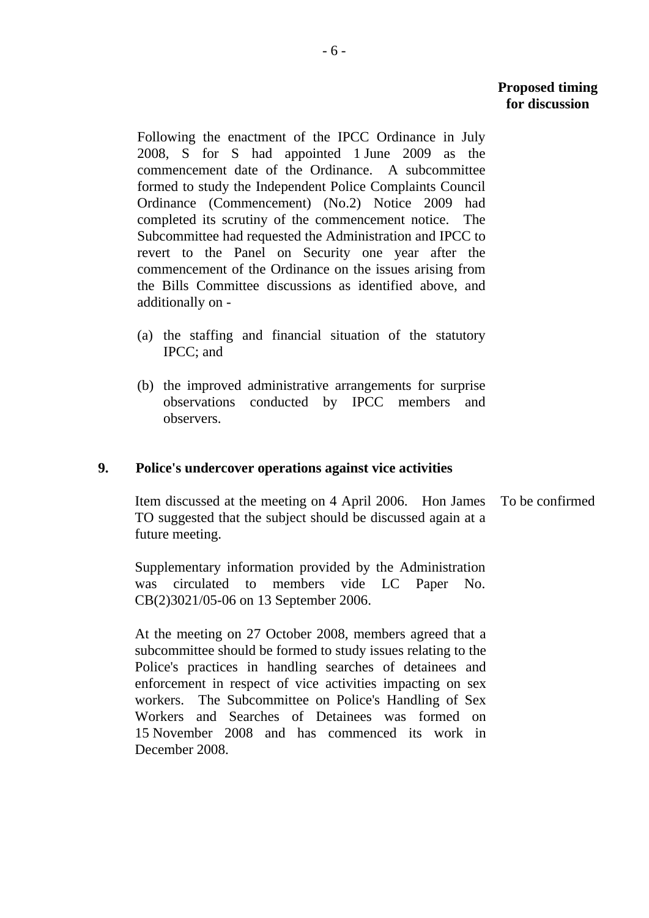# **Proposed timing for discussion**

Following the enactment of the IPCC Ordinance in July 2008, S for S had appointed 1 June 2009 as the commencement date of the Ordinance. A subcommittee formed to study the Independent Police Complaints Council Ordinance (Commencement) (No.2) Notice 2009 had completed its scrutiny of the commencement notice. The Subcommittee had requested the Administration and IPCC to revert to the Panel on Security one year after the commencement of the Ordinance on the issues arising from the Bills Committee discussions as identified above, and additionally on -

- (a) the staffing and financial situation of the statutory IPCC; and
- (b) the improved administrative arrangements for surprise observations conducted by IPCC members and observers.

### **9. Police's undercover operations against vice activities**

Item discussed at the meeting on 4 April 2006. Hon James TO suggested that the subject should be discussed again at a future meeting. To be confirmed

Supplementary information provided by the Administration was circulated to members vide LC Paper No. CB(2)3021/05-06 on 13 September 2006.

At the meeting on 27 October 2008, members agreed that a subcommittee should be formed to study issues relating to the Police's practices in handling searches of detainees and enforcement in respect of vice activities impacting on sex workers. The Subcommittee on Police's Handling of Sex Workers and Searches of Detainees was formed on 15 November 2008 and has commenced its work in December 2008.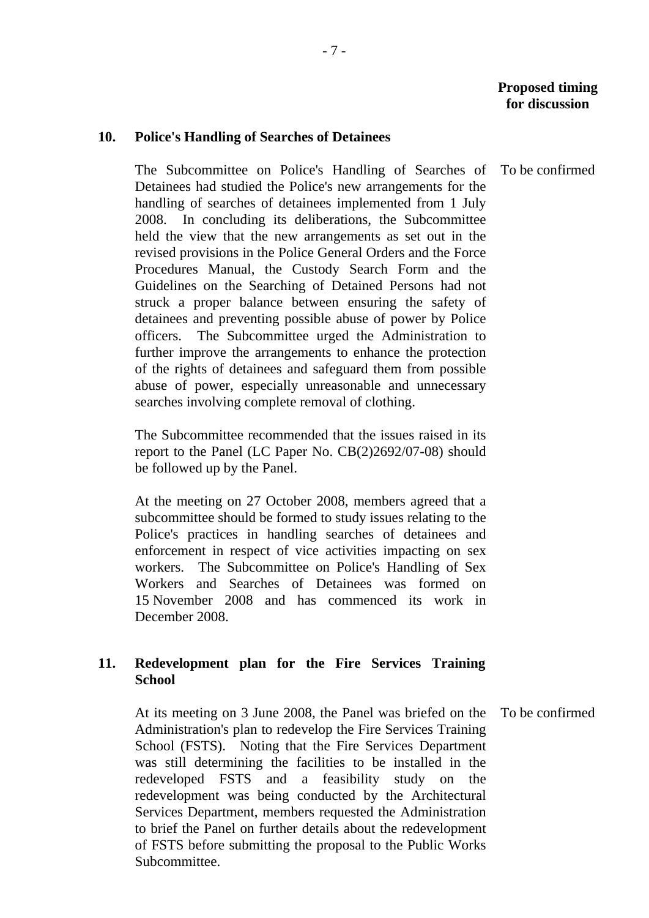### **10. Police's Handling of Searches of Detainees**

The Subcommittee on Police's Handling of Searches of Detainees had studied the Police's new arrangements for the handling of searches of detainees implemented from 1 July 2008. In concluding its deliberations, the Subcommittee held the view that the new arrangements as set out in the revised provisions in the Police General Orders and the Force Procedures Manual, the Custody Search Form and the Guidelines on the Searching of Detained Persons had not struck a proper balance between ensuring the safety of detainees and preventing possible abuse of power by Police officers. The Subcommittee urged the Administration to further improve the arrangements to enhance the protection of the rights of detainees and safeguard them from possible abuse of power, especially unreasonable and unnecessary searches involving complete removal of clothing.

The Subcommittee recommended that the issues raised in its report to the Panel (LC Paper No. CB(2)2692/07-08) should be followed up by the Panel.

At the meeting on 27 October 2008, members agreed that a subcommittee should be formed to study issues relating to the Police's practices in handling searches of detainees and enforcement in respect of vice activities impacting on sex workers. The Subcommittee on Police's Handling of Sex Workers and Searches of Detainees was formed on 15 November 2008 and has commenced its work in December 2008.

# **11. Redevelopment plan for the Fire Services Training School**

At its meeting on 3 June 2008, the Panel was briefed on the Administration's plan to redevelop the Fire Services Training School (FSTS). Noting that the Fire Services Department was still determining the facilities to be installed in the redeveloped FSTS and a feasibility study on the redevelopment was being conducted by the Architectural Services Department, members requested the Administration to brief the Panel on further details about the redevelopment of FSTS before submitting the proposal to the Public Works Subcommittee.

To be confirmed

To be confirmed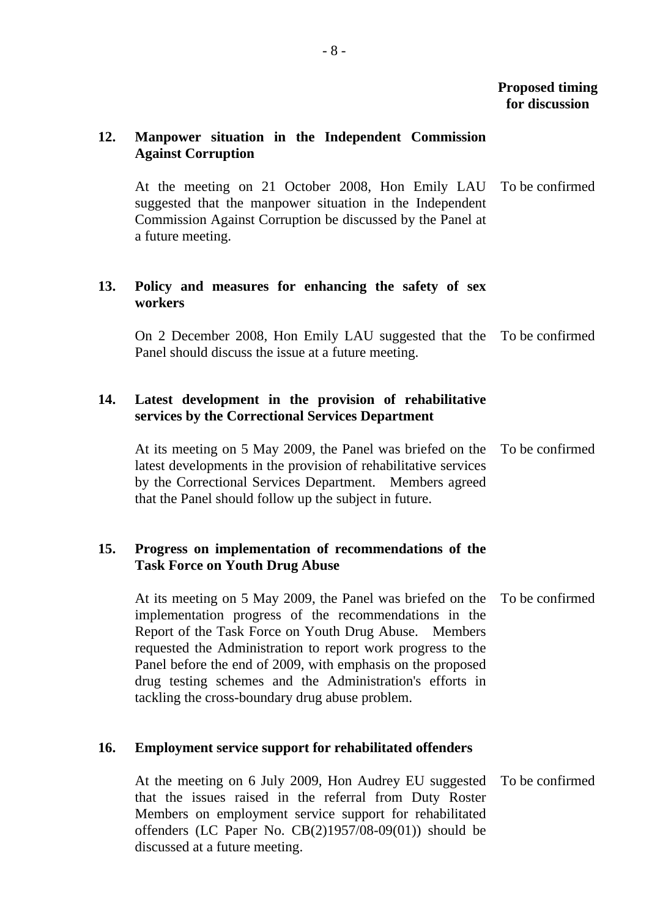# **12. Manpower situation in the Independent Commission Against Corruption**

At the meeting on 21 October 2008, Hon Emily LAU suggested that the manpower situation in the Independent Commission Against Corruption be discussed by the Panel at a future meeting. To be confirmed

## **13. Policy and measures for enhancing the safety of sex workers**

On 2 December 2008, Hon Emily LAU suggested that the To be confirmed Panel should discuss the issue at a future meeting.

## **14. Latest development in the provision of rehabilitative services by the Correctional Services Department**

At its meeting on 5 May 2009, the Panel was briefed on the To be confirmed latest developments in the provision of rehabilitative services by the Correctional Services Department. Members agreed that the Panel should follow up the subject in future.

### **15. Progress on implementation of recommendations of the Task Force on Youth Drug Abuse**

At its meeting on 5 May 2009, the Panel was briefed on the implementation progress of the recommendations in the Report of the Task Force on Youth Drug Abuse. Members requested the Administration to report work progress to the Panel before the end of 2009, with emphasis on the proposed drug testing schemes and the Administration's efforts in tackling the cross-boundary drug abuse problem. To be confirmed

# **16. Employment service support for rehabilitated offenders**

At the meeting on 6 July 2009, Hon Audrey EU suggested that the issues raised in the referral from Duty Roster Members on employment service support for rehabilitated offenders (LC Paper No. CB(2)1957/08-09(01)) should be discussed at a future meeting. To be confirmed